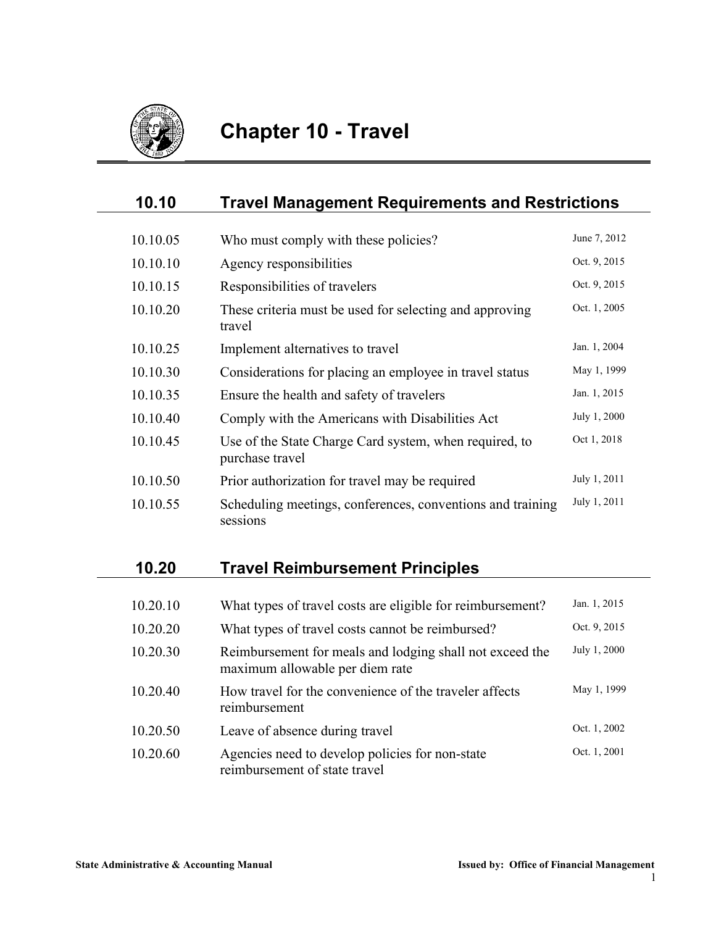

| 10.10    | <b>Travel Management Requirements and Restrictions</b>                    |              |
|----------|---------------------------------------------------------------------------|--------------|
|          |                                                                           |              |
| 10.10.05 | Who must comply with these policies?                                      | June 7, 2012 |
| 10.10.10 | Agency responsibilities                                                   | Oct. 9, 2015 |
| 10.10.15 | Responsibilities of travelers                                             | Oct. 9, 2015 |
| 10.10.20 | These criteria must be used for selecting and approving<br>travel         | Oct. 1, 2005 |
| 10.10.25 | Implement alternatives to travel                                          | Jan. 1, 2004 |
| 10.10.30 | Considerations for placing an employee in travel status                   | May 1, 1999  |
| 10.10.35 | Ensure the health and safety of travelers                                 | Jan. 1, 2015 |
| 10.10.40 | Comply with the Americans with Disabilities Act                           | July 1, 2000 |
| 10.10.45 | Use of the State Charge Card system, when required, to<br>purchase travel | Oct 1, 2018  |
| 10.10.50 | Prior authorization for travel may be required                            | July 1, 2011 |
| 10.10.55 | Scheduling meetings, conferences, conventions and training<br>sessions    | July 1, 2011 |

# **10.20 Travel Reimbursement Principles**

| 10.20.10 | What types of travel costs are eligible for reimbursement?                                  | Jan. 1, 2015 |
|----------|---------------------------------------------------------------------------------------------|--------------|
| 10.20.20 | What types of travel costs cannot be reimbursed?                                            | Oct. 9, 2015 |
| 10.20.30 | Reimbursement for meals and lodging shall not exceed the<br>maximum allowable per diem rate | July 1, 2000 |
| 10.20.40 | How travel for the convenience of the traveler affects<br>reimbursement                     | May 1, 1999  |
| 10.20.50 | Leave of absence during travel                                                              | Oct. 1, 2002 |
| 10.20.60 | Agencies need to develop policies for non-state<br>reimbursement of state travel            | Oct. 1, 2001 |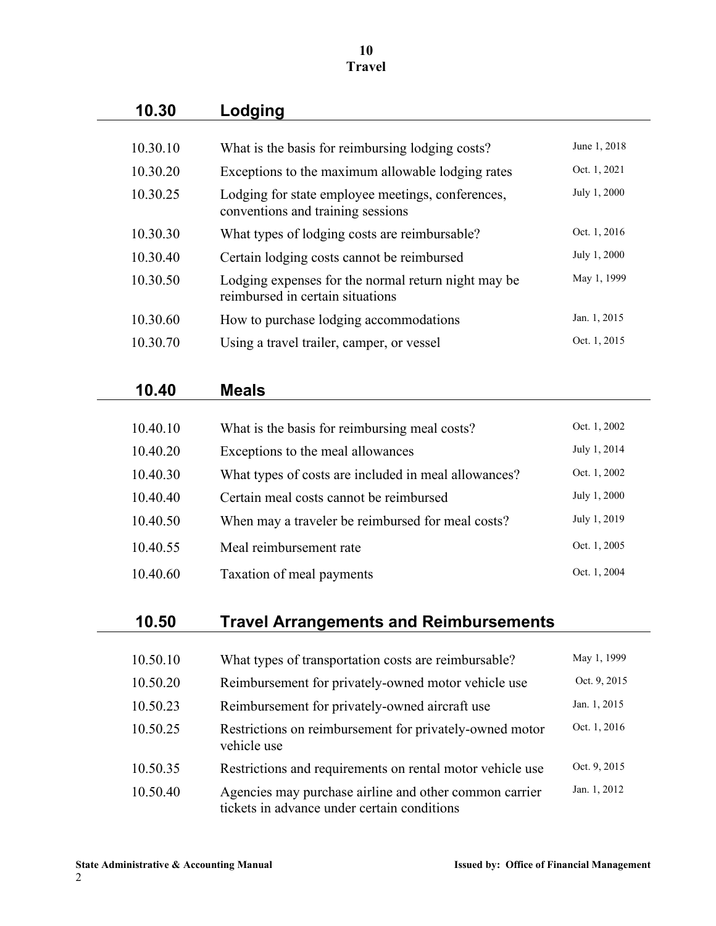#### **10 Travel**

| 10.30    | Lodging                                                                                               |              |
|----------|-------------------------------------------------------------------------------------------------------|--------------|
| 10.30.10 | What is the basis for reimbursing lodging costs?                                                      | June 1, 2018 |
| 10.30.20 | Exceptions to the maximum allowable lodging rates                                                     | Oct. 1, 2021 |
| 10.30.25 | Lodging for state employee meetings, conferences,<br>conventions and training sessions                | July 1, 2000 |
| 10.30.30 | What types of lodging costs are reimbursable?                                                         | Oct. 1, 2016 |
| 10.30.40 | Certain lodging costs cannot be reimbursed                                                            | July 1, 2000 |
| 10.30.50 | Lodging expenses for the normal return night may be<br>reimbursed in certain situations               | May 1, 1999  |
| 10.30.60 | How to purchase lodging accommodations                                                                | Jan. 1, 2015 |
| 10.30.70 | Using a travel trailer, camper, or vessel                                                             | Oct. 1, 2015 |
|          |                                                                                                       |              |
| 10.40    | <b>Meals</b>                                                                                          |              |
|          |                                                                                                       |              |
| 10.40.10 | What is the basis for reimbursing meal costs?                                                         | Oct. 1, 2002 |
| 10.40.20 | Exceptions to the meal allowances                                                                     | July 1, 2014 |
| 10.40.30 | What types of costs are included in meal allowances?                                                  | Oct. 1, 2002 |
| 10.40.40 | Certain meal costs cannot be reimbursed                                                               | July 1, 2000 |
| 10.40.50 | When may a traveler be reimbursed for meal costs?                                                     | July 1, 2019 |
| 10.40.55 | Meal reimbursement rate                                                                               | Oct. 1, 2005 |
| 10.40.60 | Taxation of meal payments                                                                             | Oct. 1, 2004 |
|          |                                                                                                       |              |
| 10.50    | <b>Travel Arrangements and Reimbursements</b>                                                         |              |
|          |                                                                                                       | May 1, 1999  |
| 10.50.10 | What types of transportation costs are reimbursable?                                                  |              |
| 10.50.20 | Reimbursement for privately-owned motor vehicle use                                                   | Oct. 9, 2015 |
| 10.50.23 | Reimbursement for privately-owned aircraft use                                                        | Jan. 1, 2015 |
| 10.50.25 | Restrictions on reimbursement for privately-owned motor<br>vehicle use                                | Oct. 1, 2016 |
| 10.50.35 | Restrictions and requirements on rental motor vehicle use                                             | Oct. 9, 2015 |
| 10.50.40 | Agencies may purchase airline and other common carrier<br>tickets in advance under certain conditions | Jan. 1, 2012 |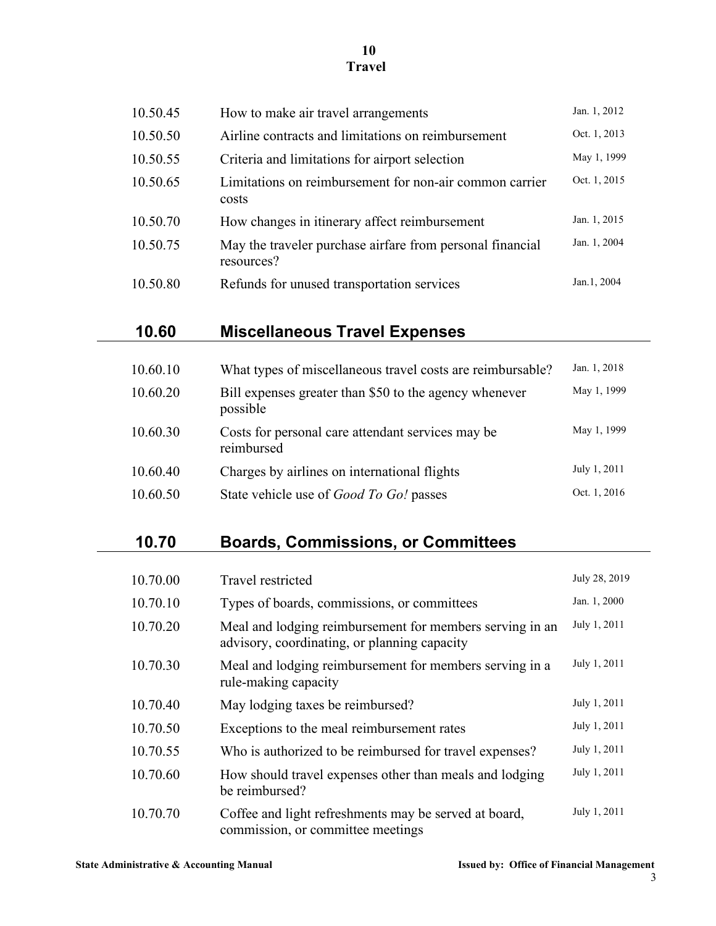### **10 Travel**

|          |                                                                                                          | Jan. 1, 2012                                                        |
|----------|----------------------------------------------------------------------------------------------------------|---------------------------------------------------------------------|
| 10.50.45 | How to make air travel arrangements                                                                      |                                                                     |
| 10.50.50 | Airline contracts and limitations on reimbursement                                                       | Oct. 1, 2013                                                        |
| 10.50.55 | Criteria and limitations for airport selection                                                           | May 1, 1999                                                         |
| 10.50.65 | Limitations on reimbursement for non-air common carrier<br>costs                                         | Oct. 1, 2015                                                        |
| 10.50.70 | How changes in itinerary affect reimbursement                                                            | Jan. 1, 2015                                                        |
| 10.50.75 | May the traveler purchase airfare from personal financial<br>resources?                                  | Jan. 1, 2004                                                        |
| 10.50.80 | Refunds for unused transportation services                                                               | Jan.1, 2004                                                         |
|          |                                                                                                          |                                                                     |
| 10.60    | <b>Miscellaneous Travel Expenses</b>                                                                     |                                                                     |
|          |                                                                                                          |                                                                     |
| 10.60.10 | What types of miscellaneous travel costs are reimbursable?                                               | Jan. 1, 2018                                                        |
| 10.60.20 | Bill expenses greater than \$50 to the agency whenever<br>possible                                       | May 1, 1999                                                         |
| 10.60.30 | Costs for personal care attendant services may be<br>reimbursed                                          | May 1, 1999                                                         |
| 10.60.40 | Charges by airlines on international flights                                                             | July 1, 2011                                                        |
| 10.60.50 | State vehicle use of Good To Go! passes                                                                  | Oct. 1, 2016                                                        |
|          |                                                                                                          |                                                                     |
| 10.70    | <b>Boards, Commissions, or Committees</b>                                                                |                                                                     |
|          |                                                                                                          |                                                                     |
| 10.70.00 | Travel restricted                                                                                        | July 28, 2019                                                       |
| 10.70.10 | Types of boards, commissions, or committees                                                              | Jan. 1, 2000                                                        |
| 10.70.20 | Meal and lodging reimbursement for members serving in an<br>advisory, coordinating, or planning capacity | July 1, 2011                                                        |
| 10.70.30 | Meal and lodging reimbursement for members serving in a<br>rule-making capacity                          | July 1, 2011                                                        |
| $\cdots$ |                                                                                                          | $T_{1}$ , $T_{2}$ , $T_{3}$ , $T_{1}$ , $T_{2}$ , $T_{3}$ , $T_{1}$ |

| 10.70.40 | May lodging taxes be reimbursed?                                                           | July 1, 2011 |
|----------|--------------------------------------------------------------------------------------------|--------------|
| 10.70.50 | Exceptions to the meal reimbursement rates                                                 | July 1, 2011 |
| 10.70.55 | Who is authorized to be reimbursed for travel expenses?                                    | July 1, 2011 |
| 10.70.60 | How should travel expenses other than meals and lodging<br>be reimbursed?                  | July 1, 2011 |
| 10.70.70 | Coffee and light refreshments may be served at board,<br>commission, or committee meetings | July 1, 2011 |